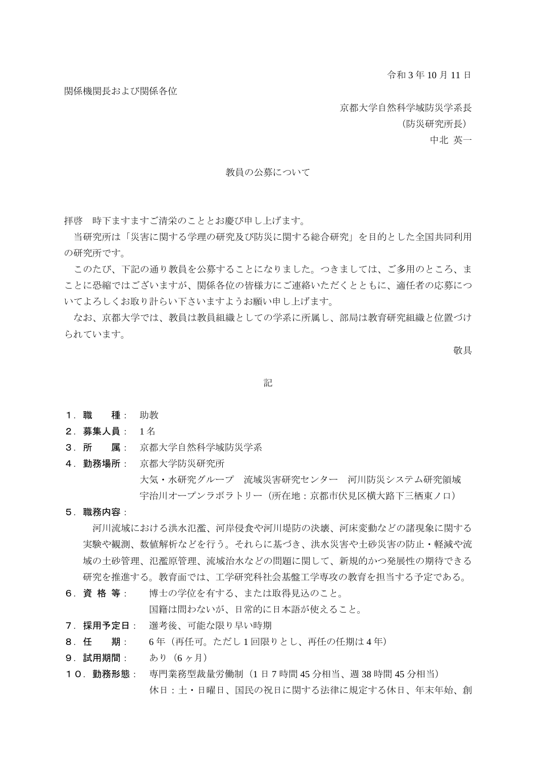令和 3 年 10 月 11 日

関係機関長および関係各位

京都大学自然科学域防災学系長

(防災研究所長)

中北 英一

#### 教員の公募について

拝啓 時下ますますご清栄のこととお慶び申し上げます。

当研究所は「災害に関する学理の研究及び防災に関する総合研究」を目的とした全国共同利用 の研究所です。

このたび、下記の通り教員を公募することになりました。つきましては、ご多用のところ、ま ことに恐縮ではございますが、関係各位の皆様方にご連絡いただくとともに、適任者の応募につ いてよろしくお取り計らい下さいますようお願い申し上げます。

なお、京都大学では、教員は教員組織としての学系に所属し、部局は教育研究組織と位置づけ られています。

敬具

記

- 1.職 種: 助教
- 2.募集人員: 1 名
- 3.所 属: 京都大学自然科学域防災学系
- 4.勤務場所: 京都大学防災研究所 大気・水研究グループ 流域災害研究センター 河川防災システム研究領域 宇治川オープンラボラトリー(所在地:京都市伏見区横大路下三栖東ノ口)
- 5.職務内容:

 河川流域における洪水氾濫、河岸侵食や河川堤防の決壊、河床変動などの諸現象に関する 実験や観測、数値解析などを行う。それらに基づき、洪水災害や土砂災害の防止・軽減や流 域の土砂管理、氾濫原管理、流域治水などの問題に関して、新規的かつ発展性の期待できる 研究を推進する。教育面では、工学研究科社会基盤工学専攻の教育を担当する予定である。

6.資 格 等: 博士の学位を有する、または取得見込のこと。

国籍は問わないが、日常的に日本語が使えること。

- 7.採用予定日: 選考後、可能な限り早い時期
- 8.任 期: 6 年(再任可。ただし 1 回限りとし、再任の任期は 4 年)
- 9.試用期間: あり(6 ヶ月)
- 10.勤務形態: 専門業務型裁量労働制(1 日 7 時間 45 分相当、週 38 時間 45 分相当) 休日:土・日曜日、国民の祝日に関する法律に規定する休日、年末年始、創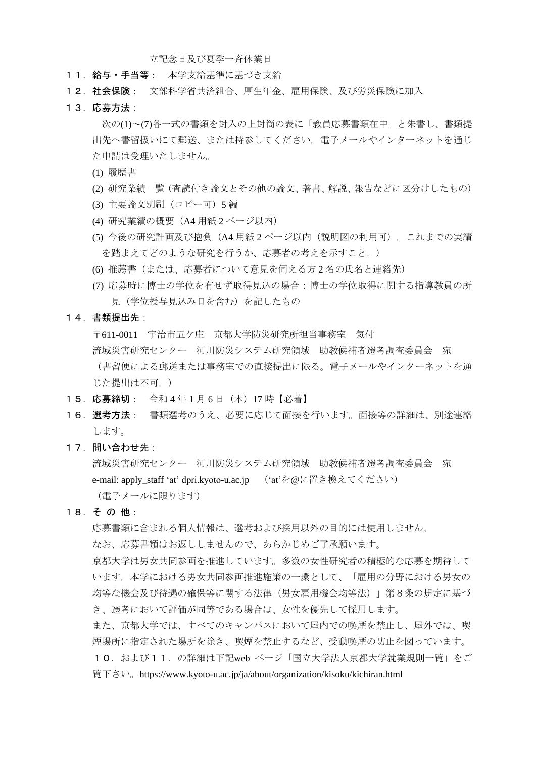立記念日及び夏季一斉休業日

- 11.給与・手当等: 本学支給基準に基づき支給
- 12. 社会保険: 文部科学省共済組合、厚生年金、雇用保険、及び労災保険に加入
- 13.応募方法:

次の(1)~(7)各一式の書類を封入の上封筒の表に「教員応募書類在中」と朱書し、書類提 出先へ書留扱いにて郵送、または持参してください。電子メールやインターネットを通じ た申請は受理いたしません。

- (1) 履歴書
- (2) 研究業績一覧(査読付き論文とその他の論文、著書、解説、報告などに区分けしたもの)
- (3) 主要論文別刷(コピー可)5 編
- (4) 研究業績の概要(A4 用紙 2 ページ以内)
- (5) 今後の研究計画及び抱負(A4 用紙 2 ページ以内(説明図の利用可)。これまでの実績 を踏まえてどのような研究を行うか、応募者の考えを示すこと。)
- (6) 推薦書(または、応募者について意見を伺える方 2 名の氏名と連絡先)
- (7) 応募時に博士の学位を有せず取得見込の場合:博士の学位取得に関する指導教員の所 見(学位授与見込み日を含む)を記したもの
- 14.書類提出先:

〒611-0011 宇治市五ケ庄 京都大学防災研究所担当事務室 気付

 流域災害研究センター 河川防災システム研究領域 助教候補者選考調査委員会 宛 (書留便による郵送または事務室での直接提出に限る。電子メールやインターネットを通 じた提出は不可。)

- 15.応募締切: 令和 4 年 1 月 6 日(木)17 時【必着】
- 16. 選考方法: 書類選考のうえ、必要に応じて面接を行います。面接等の詳細は、別途連絡 します。
- 17.問い合わせ先:

 流域災害研究センター 河川防災システム研究領域 助教候補者選考調査委員会 宛 e-mail: apply\_staff 'at' dpri.kyoto-u.ac.jp ('at'を@に置き換えてください) (電子メールに限ります)

### 18.そ の 他:

応募書類に含まれる個人情報は、選考および採用以外の目的には使用しません。

なお、応募書類はお返ししませんので、あらかじめご了承願います。

京都大学は男女共同参画を推進しています。多数の女性研究者の積極的な応募を期待して います。本学における男女共同参画推進施策の一環として、「雇用の分野における男女の 均等な機会及び待遇の確保等に関する法律(男女雇用機会均等法)」第8条の規定に基づ き、選考において評価が同等である場合は、女性を優先して採用します。

また、京都大学では、すべてのキャンパスにおいて屋内での喫煙を禁止し、屋外では、喫 煙場所に指定された場所を除き、喫煙を禁止するなど、受動喫煙の防止を図っています。

10.および11.の詳細は下記web ページ「国立大学法人京都大学就業規則一覧」をご 覧下さい。https://www.kyoto-u.ac.jp/ja/about/organization/kisoku/kichiran.html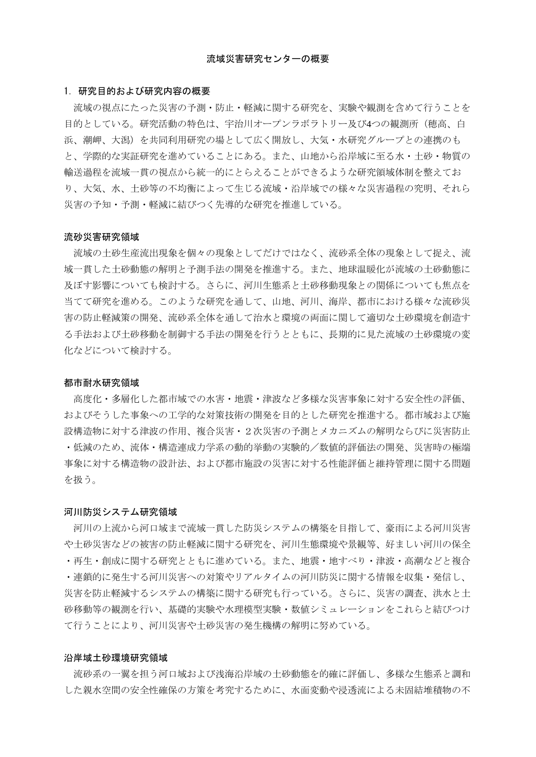#### 1.研究目的および研究内容の概要

流域の視点にたった災害の予測・防止・軽減に関する研究を、実験や観測を含めて行うことを 目的としている。研究活動の特色は、宇治川オープンラボラトリー及び4つの観測所(穂高、白 浜、潮岬、大潟)を共同利用研究の場として広く開放し、大気・水研究グループとの連携のも と、学際的な実証研究を進めていることにある。また、山地から沿岸域に至る水・土砂・物質の 輸送過程を流域一貫の視点から統一的にとらえることができるような研究領域体制を整えてお り、大気、水、土砂等の不均衡によって生じる流域・沿岸域での様々な災害過程の究明、それら 災害の予知・予測・軽減に結びつく先導的な研究を推進している。

#### 流砂災害研究領域

流域の土砂生産流出現象を個々の現象としてだけではなく、流砂系全体の現象として捉え、流 域一貫した土砂動態の解明と予測手法の開発を推進する。また、地球温暖化が流域の土砂動態に 及ぼす影響についても検討する。さらに、河川生態系と土砂移動現象との関係についても焦点を 当てて研究を進める。このような研究を通して、山地、河川、海岸、都市における様々な流砂災 害の防止軽減策の開発、流砂系全体を通して治水と環境の両面に関して適切な土砂環境を創造す る手法および土砂移動を制御する手法の開発を行うとともに、長期的に見た流域の土砂環境の変 化などについて検討する。

#### 都市耐水研究領域

高度化・多層化した都市域での水害・地震・津波など多様な災害事象に対する安全性の評価、 およびそうした事象への工学的な対策技術の開発を目的とした研究を推進する。都市域および施 設構造物に対する津波の作用、複合災害・2次災害の予測とメカニズムの解明ならびに災害防止 ・低減のため、流体・構造連成力学系の動的挙動の実験的/数値的評価法の開発、災害時の極端 事象に対する構造物の設計法、および都市施設の災害に対する性能評価と維持管理に関する問題 を扱う。

#### 河川防災システム研究領域

河川の上流から河口域まで流域一貫した防災システムの構築を目指して、豪雨による河川災害 や土砂災害などの被害の防止軽減に関する研究を、河川生態環境や景観等、好ましい河川の保全 ・再生・創成に関する研究とともに進めている。また、地震・地すべり・津波・高潮などと複合

・連鎖的に発生する河川災害への対策やリアルタイムの河川防災に関する情報を収集・発信し、 災害を防止軽減するシステムの構築に関する研究も行っている。さらに、災害の調査、洪水と土 砂移動等の観測を行い、基礎的実験や水理模型実験・数値シミュレーションをこれらと結びつけ て行うことにより、河川災害や土砂災害の発生機構の解明に努めている。

#### 沿岸域土砂環境研究領域

流砂系の一翼を担う河口域および浅海沿岸域の土砂動態を的確に評価し、多様な生態系と調和 した親水空間の安全性確保の方策を考究するために、水面変動や浸透流による未固結堆積物の不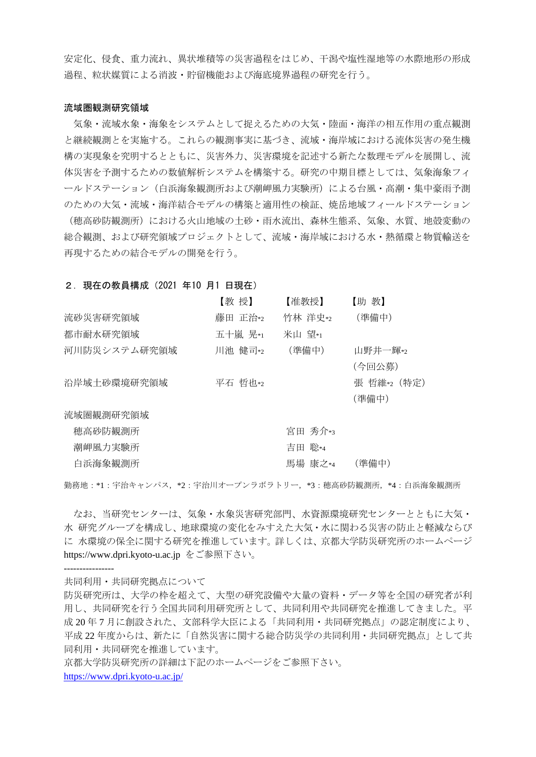安定化、侵食、重力流れ、異状堆積等の災害過程をはじめ、干潟や塩性湿地等の水際地形の形成 過程、粒状媒質による消波・貯留機能および海底境界過程の研究を行う。

#### 流域圏観測研究領域

気象・流域水象・海象をシステムとして捉えるための大気・陸面・海洋の相互作用の重点観測 と継続観測とを実施する。これらの観測事実に基づき、流域・海岸域における流体災害の発生機 構の実現象を究明するとともに、災害外力、災害環境を記述する新たな数理モデルを展開し、流 体災害を予測するための数値解析システムを構築する。研究の中期目標としては、気象海象フィ ールドステーション(白浜海象観測所および潮岬風力実験所)による台風・高潮・集中豪雨予測 のための大気・流域・海洋結合モデルの構築と適用性の検証、焼岳地域フィールドステーション (穂高砂防観測所)における火山地域の土砂・雨水流出、森林生態系、気象、水質、地殻変動の 総合観測、および研究領域プロジェクトとして、流域・海岸域における水・熱循環と物質輸送を 再現するための結合モデルの開発を行う。

## 2. 現在の教員構成 (2021 年10 月1 日現在)

|              | 【教 授】   | 【准教授】   | 【助教】       |
|--------------|---------|---------|------------|
| 流砂災害研究領域     | 藤田 正治*2 | 竹林 洋史*2 | (準備中)      |
| 都市耐水研究領域     | 五十嵐 晃*1 | 米山 望*1  |            |
| 河川防災システム研究領域 | 川池 健司*2 | (準備中)   | 山野井一輝*2    |
|              |         |         | (今回公募)     |
| 沿岸域土砂環境研究領域  | 平石 哲也*2 |         | 張哲維*2 (特定) |
|              |         |         | (準備中)      |
| 流域圏観測研究領域    |         |         |            |
| 穂高砂防観測所      |         | 宮田 秀介*3 |            |
| 潮岬風力実験所      |         | 吉田 聡*4  |            |
| 白浜海象観測所      |         | 馬場 康之*4 | (準備中)      |

勤務地:\*1:宇治キャンパス,\*2:宇治川オープンラボラトリー,\*3:穂高砂防観測所,\*4:白浜海象観測所

なお、当研究センターは、気象・水象災害研究部門、水資源環境研究センターとともに大気・ 水 研究グループを構成し、地球環境の変化をみすえた大気・水に関わる災害の防止と軽減ならび に 水環境の保全に関する研究を推進しています。詳しくは、京都大学防災研究所のホームページ https://www.dpri.kyoto-u.ac.jp をご参照下さい。

----------------

共同利用・共同研究拠点について

京都大学防災研究所の詳細は下記のホームページをご参照下さい。

<https://www.dpri.kyoto-u.ac.jp/>

防災研究所は、大学の枠を超えて、大型の研究設備や大量の資料・データ等を全国の研究者が利 用し、共同研究を行う全国共同利用研究所として、共同利用や共同研究を推進してきました。平 成 20 年 7 月に創設された、文部科学大臣による「共同利用・共同研究拠点」の認定制度により、 平成 22 年度からは、新たに「自然災害に関する総合防災学の共同利用・共同研究拠点」として共 同利用・共同研究を推進しています。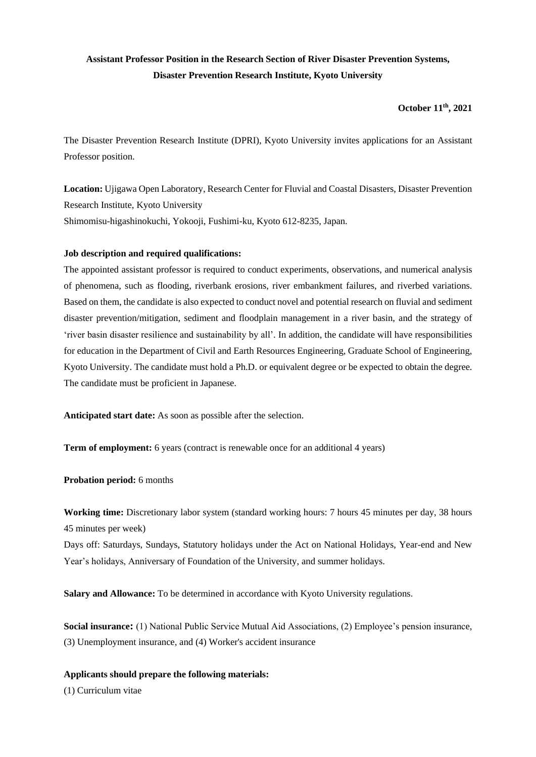# **Assistant Professor Position in the Research Section of River Disaster Prevention Systems, Disaster Prevention Research Institute, Kyoto University**

# **October 11th, 2021**

The Disaster Prevention Research Institute (DPRI), Kyoto University invites applications for an Assistant Professor position.

**Location:** Ujigawa Open Laboratory, Research Center for Fluvial and Coastal Disasters, Disaster Prevention Research Institute, Kyoto University Shimomisu-higashinokuchi, Yokooji, Fushimi-ku, Kyoto 612-8235, Japan.

# **Job description and required qualifications:**

The appointed assistant professor is required to conduct experiments, observations, and numerical analysis of phenomena, such as flooding, riverbank erosions, river embankment failures, and riverbed variations. Based on them, the candidate is also expected to conduct novel and potential research on fluvial and sediment disaster prevention/mitigation, sediment and floodplain management in a river basin, and the strategy of 'river basin disaster resilience and sustainability by all'. In addition, the candidate will have responsibilities for education in the Department of Civil and Earth Resources Engineering, Graduate School of Engineering, Kyoto University. The candidate must hold a Ph.D. or equivalent degree or be expected to obtain the degree. The candidate must be proficient in Japanese.

**Anticipated start date:** As soon as possible after the selection.

**Term of employment:** 6 years (contract is renewable once for an additional 4 years)

**Probation period:** 6 months

**Working time:** Discretionary labor system (standard working hours: 7 hours 45 minutes per day, 38 hours 45 minutes per week)

Days off: Saturdays, Sundays, Statutory holidays under the Act on National Holidays, Year-end and New Year's holidays, Anniversary of Foundation of the University, and summer holidays.

**Salary and Allowance:** To be determined in accordance with Kyoto University regulations.

**Social insurance:** (1) National Public Service Mutual Aid Associations, (2) Employee's pension insurance, (3) Unemployment insurance, and (4) Worker's accident insurance

# **Applicants should prepare the following materials:**

(1) Curriculum vitae